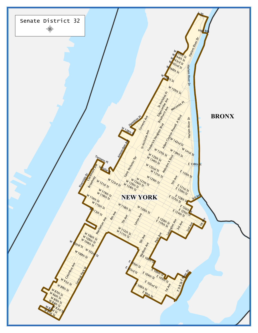